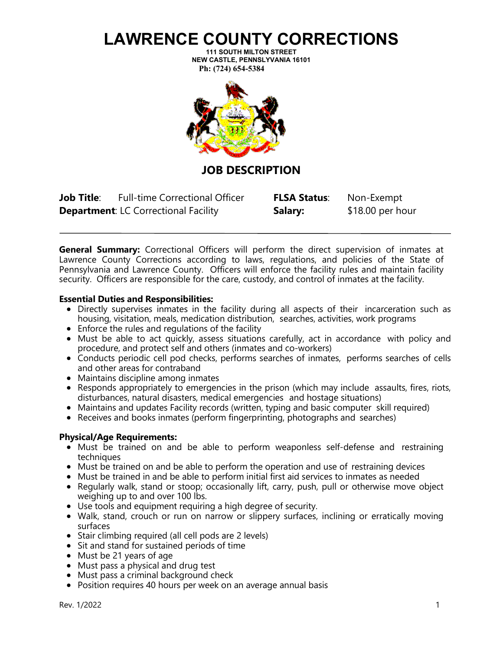## **LAWRENCE COUNTY CORRECTIONS**

**111 SOUTH MILTON STREET NEW CASTLE, PENNSLYVANIA 16101 Ph: (724) 654-5384** 



**JOB DESCRIPTION**

**Job Title**: Full-time Correctional Officer **FLSA Status**: Non-Exempt **Department:** LC Correctional Facility **Salary:** \$18.00 per hour

**General Summary:** Correctional Officers will perform the direct supervision of inmates at Lawrence County Corrections according to laws, regulations, and policies of the State of Pennsylvania and Lawrence County. Officers will enforce the facility rules and maintain facility security. Officers are responsible for the care, custody, and control of inmates at the facility.

### **Essential Duties and Responsibilities:**

- Directly supervises inmates in the facility during all aspects of their incarceration such as housing, visitation, meals, medication distribution, searches, activities, work programs
- Enforce the rules and regulations of the facility
- Must be able to act quickly, assess situations carefully, act in accordance with policy and procedure, and protect self and others (inmates and co-workers)
- Conducts periodic cell pod checks, performs searches of inmates, performs searches of cells and other areas for contraband
- Maintains discipline among inmates
- Responds appropriately to emergencies in the prison (which may include assaults, fires, riots, disturbances, natural disasters, medical emergencies and hostage situations)
- Maintains and updates Facility records (written, typing and basic computer skill required)
- Receives and books inmates (perform fingerprinting, photographs and searches)

#### **Physical/Age Requirements:**

- Must be trained on and be able to perform weaponless self-defense and restraining techniques
- Must be trained on and be able to perform the operation and use of restraining devices
- Must be trained in and be able to perform initial first aid services to inmates as needed
- Regularly walk, stand or stoop; occasionally lift, carry, push, pull or otherwise move object weighing up to and over 100 lbs.
- Use tools and equipment requiring a high degree of security.
- Walk, stand, crouch or run on narrow or slippery surfaces, inclining or erratically moving surfaces
- Stair climbing required (all cell pods are 2 levels)
- Sit and stand for sustained periods of time
- Must be 21 years of age
- Must pass a physical and drug test
- Must pass a criminal background check
- Position requires 40 hours per week on an average annual basis